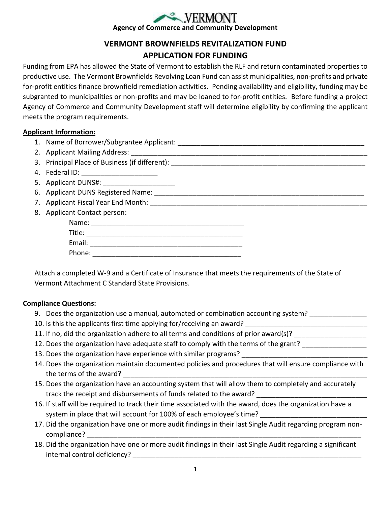# **Agency of Commerce and Community Development**

# **VERMONT BROWNFIELDS REVITALIZATION FUND APPLICATION FOR FUNDING**

Funding from EPA has allowed the State of Vermont to establish the RLF and return contaminated properties to productive use. The Vermont Brownfields Revolving Loan Fund can assist municipalities, non-profits and private for-profit entities finance brownfield remediation activities. Pending availability and eligibility, funding may be subgranted to municipalities or non-profits and may be loaned to for-profit entities. Before funding a project Agency of Commerce and Community Development staff will determine eligibility by confirming the applicant meets the program requirements.

## **Applicant Information:**

- 1. Name of Borrower/Subgrantee Applicant:
- 2. Applicant Mailing Address: \_\_\_\_\_\_\_\_\_\_\_\_\_\_\_\_\_\_\_\_\_\_\_\_\_\_\_\_\_\_\_\_\_\_\_\_\_\_\_\_\_\_\_\_\_\_\_\_\_\_\_\_\_\_\_\_\_\_\_\_\_\_
- 3. Principal Place of Business (if different):
- 4. Federal ID:
- 5. Applicant DUNS#: \_\_\_\_\_\_\_\_\_\_\_\_\_\_\_\_\_\_\_
- 6. Applicant DUNS Registered Name: \_\_\_\_\_\_\_\_\_\_\_\_\_\_\_\_\_\_\_\_\_\_\_\_\_\_\_\_\_\_\_\_\_\_\_\_\_\_\_\_\_\_\_\_\_\_\_\_\_\_\_\_\_\_\_
- 7. Applicant Fiscal Year End Month: \_\_\_\_\_\_\_\_\_\_\_\_\_\_\_\_\_\_\_\_\_\_\_\_\_\_\_\_\_\_\_\_\_\_\_\_\_\_\_\_\_\_\_\_\_\_\_\_\_\_\_\_\_\_\_\_\_
- 8. Applicant Contact person:

| Name:  |  |
|--------|--|
| Title: |  |
| Email: |  |
| Phone: |  |

Attach a completed W-9 and a Certificate of Insurance that meets the requirements of the State of Vermont Attachment C Standard State Provisions.

## **Compliance Questions:**

- 9. Does the organization use a manual, automated or combination accounting system? \_\_\_\_\_
- 10. Is this the applicants first time applying for/receiving an award?
- 11. If no, did the organization adhere to all terms and conditions of prior award(s)?
- 12. Does the organization have adequate staff to comply with the terms of the grant?
- 13. Does the organization have experience with similar programs?
- 14. Does the organization maintain documented policies and procedures that will ensure compliance with the terms of the award?
- 15. Does the organization have an accounting system that will allow them to completely and accurately track the receipt and disbursements of funds related to the award?
- 16. If staff will be required to track their time associated with the award, does the organization have a system in place that will account for 100% of each employee's time?
- 17. Did the organization have one or more audit findings in their last Single Audit regarding program noncompliance?
- 18. Did the organization have one or more audit findings in their last Single Audit regarding a significant internal control deficiency? \_\_\_\_\_\_\_\_\_\_\_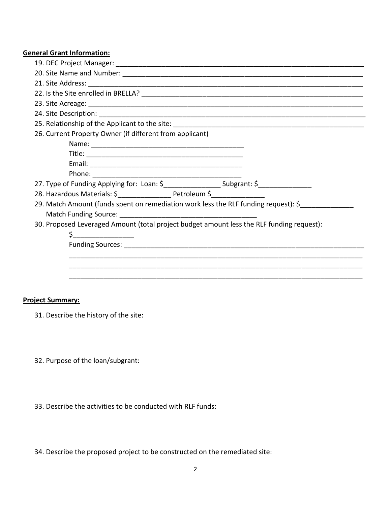#### **General Grant Information:**

| 26. Current Property Owner (if different from applicant)                                  |  |
|-------------------------------------------------------------------------------------------|--|
|                                                                                           |  |
|                                                                                           |  |
|                                                                                           |  |
|                                                                                           |  |
| 27. Type of Funding Applying for: Loan: \$______________________Subgrant: \$_____________ |  |
| 28. Hazardous Materials: \$ ______________________ Petroleum \$ ___________               |  |
| 29. Match Amount (funds spent on remediation work less the RLF funding request): \$       |  |
|                                                                                           |  |
| 30. Proposed Leveraged Amount (total project budget amount less the RLF funding request): |  |
| $\mathsf{\dot{S}}$ and $\_\_\_\_\_\_\_\_\_\_\_\_$                                         |  |
|                                                                                           |  |
|                                                                                           |  |
|                                                                                           |  |
|                                                                                           |  |

#### **Project Summary:**

- 31. Describe the history of the site:
- 32. Purpose of the loan/subgrant:
- 33. Describe the activities to be conducted with RLF funds:
- 34. Describe the proposed project to be constructed on the remediated site: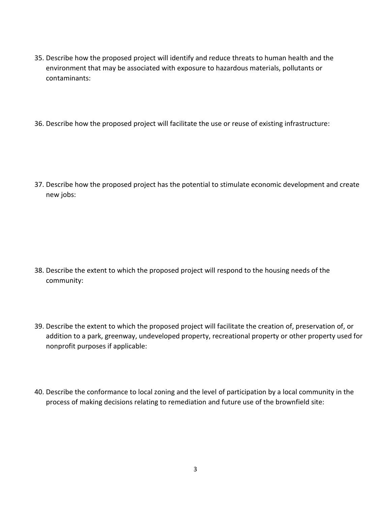- 35. Describe how the proposed project will identify and reduce threats to human health and the environment that may be associated with exposure to hazardous materials, pollutants or contaminants:
- 36. Describe how the proposed project will facilitate the use or reuse of existing infrastructure:

37. Describe how the proposed project has the potential to stimulate economic development and create new jobs:

- 38. Describe the extent to which the proposed project will respond to the housing needs of the community:
- 39. Describe the extent to which the proposed project will facilitate the creation of, preservation of, or addition to a park, greenway, undeveloped property, recreational property or other property used for nonprofit purposes if applicable:
- 40. Describe the conformance to local zoning and the level of participation by a local community in the process of making decisions relating to remediation and future use of the brownfield site: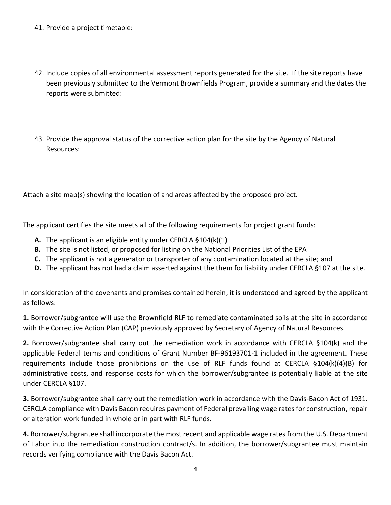- 41. Provide a project timetable:
- 42. Include copies of all environmental assessment reports generated for the site. If the site reports have been previously submitted to the Vermont Brownfields Program, provide a summary and the dates the reports were submitted:
- 43. Provide the approval status of the corrective action plan for the site by the Agency of Natural Resources:

Attach a site map(s) showing the location of and areas affected by the proposed project.

The applicant certifies the site meets all of the following requirements for project grant funds:

- **A.** The applicant is an eligible entity under CERCLA §104(k)(1)
- **B.** The site is not listed, or proposed for listing on the National Priorities List of the EPA
- **C.** The applicant is not a generator or transporter of any contamination located at the site; and
- **D.** The applicant has not had a claim asserted against the them for liability under CERCLA §107 at the site.

In consideration of the covenants and promises contained herein, it is understood and agreed by the applicant as follows:

**1.** Borrower/subgrantee will use the Brownfield RLF to remediate contaminated soils at the site in accordance with the Corrective Action Plan (CAP) previously approved by Secretary of Agency of Natural Resources.

**2.** Borrower/subgrantee shall carry out the remediation work in accordance with CERCLA §104(k) and the applicable Federal terms and conditions of Grant Number BF-96193701-1 included in the agreement. These requirements include those prohibitions on the use of RLF funds found at CERCLA §104(k)(4)(B) for administrative costs, and response costs for which the borrower/subgrantee is potentially liable at the site under CERCLA §107.

**3.** Borrower/subgrantee shall carry out the remediation work in accordance with the Davis-Bacon Act of 1931. CERCLA compliance with Davis Bacon requires payment of Federal prevailing wage rates for construction, repair or alteration work funded in whole or in part with RLF funds.

**4.** Borrower/subgrantee shall incorporate the most recent and applicable wage rates from the U.S. Department of Labor into the remediation construction contract/s. In addition, the borrower/subgrantee must maintain records verifying compliance with the Davis Bacon Act.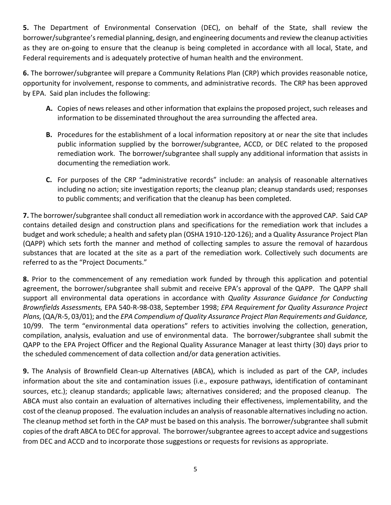**5.** The Department of Environmental Conservation (DEC), on behalf of the State, shall review the borrower/subgrantee's remedial planning, design, and engineering documents and review the cleanup activities as they are on-going to ensure that the cleanup is being completed in accordance with all local, State, and Federal requirements and is adequately protective of human health and the environment.

**6.** The borrower/subgrantee will prepare a Community Relations Plan (CRP) which provides reasonable notice, opportunity for involvement, response to comments, and administrative records. The CRP has been approved by EPA. Said plan includes the following:

- **A.** Copies of news releases and other information that explains the proposed project, such releases and information to be disseminated throughout the area surrounding the affected area.
- **B.** Procedures for the establishment of a local information repository at or near the site that includes public information supplied by the borrower/subgrantee, ACCD, or DEC related to the proposed remediation work. The borrower/subgrantee shall supply any additional information that assists in documenting the remediation work.
- **C.** For purposes of the CRP "administrative records" include: an analysis of reasonable alternatives including no action; site investigation reports; the cleanup plan; cleanup standards used; responses to public comments; and verification that the cleanup has been completed.

**7.** The borrower/subgrantee shall conduct all remediation work in accordance with the approved CAP. Said CAP contains detailed design and construction plans and specifications for the remediation work that includes a budget and work schedule; a health and safety plan (OSHA 1910-120-126); and a Quality Assurance Project Plan (QAPP) which sets forth the manner and method of collecting samples to assure the removal of hazardous substances that are located at the site as a part of the remediation work. Collectively such documents are referred to as the "Project Documents."

**8.** Prior to the commencement of any remediation work funded by through this application and potential agreement, the borrower/subgrantee shall submit and receive EPA's approval of the QAPP. The QAPP shall support all environmental data operations in accordance with *Quality Assurance Guidance for Conducting Brownfields Assessments,* EPA 540-R-98-038, September 1998; *EPA Requirement for Quality Assurance Project Plans,* (QA/R-5, 03/01); and the *EPA Compendium of Quality Assurance Project Plan Requirements and Guidance,*  10/99. The term "environmental data operations" refers to activities involving the collection, generation, compilation, analysis, evaluation and use of environmental data. The borrower/subgrantee shall submit the QAPP to the EPA Project Officer and the Regional Quality Assurance Manager at least thirty (30) days prior to the scheduled commencement of data collection and/or data generation activities.

**9.** The Analysis of Brownfield Clean-up Alternatives (ABCA), which is included as part of the CAP, includes information about the site and contamination issues (i.e., exposure pathways, identification of contaminant sources, etc.); cleanup standards; applicable laws; alternatives considered; and the proposed cleanup. The ABCA must also contain an evaluation of alternatives including their effectiveness, implementability, and the cost of the cleanup proposed. The evaluation includes an analysis of reasonable alternatives including no action. The cleanup method set forth in the CAP must be based on this analysis. The borrower/subgrantee shall submit copies of the draft ABCA to DEC for approval.The borrower/subgrantee agrees to accept advice and suggestions from DEC and ACCD and to incorporate those suggestions or requests for revisions as appropriate.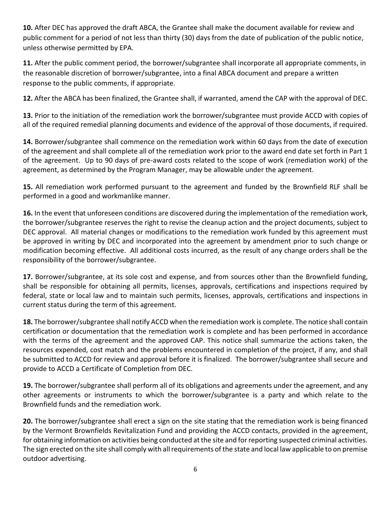**10.** After DEC has approved the draft ABCA, the Grantee shall make the document available for review and public comment for a period of not less than thirty (30) days from the date of publication of the public notice, unless otherwise permitted by EPA.

**11.** After the public comment period, the borrower/subgrantee shall incorporate all appropriate comments, in the reasonable discretion of borrower/subgrantee, into a final ABCA document and prepare a written response to the public comments, if appropriate.

**12.** After the ABCA has been finalized, the Grantee shall, if warranted, amend the CAP with the approval of DEC.

**13.** Prior to the initiation of the remediation work the borrower/subgrantee must provide ACCD with copies of all of the required remedial planning documents and evidence of the approval of those documents, if required.

**14.** Borrower/subgrantee shall commence on the remediation work within 60 days from the date of execution of the agreement and shall complete all of the remediation work prior to the award end date set forth in Part 1 of the agreement. Up to 90 days of pre-award costs related to the scope of work (remediation work) of the agreement, as determined by the Program Manager, may be allowable under the agreement.

**15.** All remediation work performed pursuant to the agreement and funded by the Brownfield RLF shall be performed in a good and workmanlike manner.

**16.** In the event that unforeseen conditions are discovered during the implementation of the remediation work, the borrower/subgrantee reserves the right to revise the cleanup action and the project documents, subject to DEC approval. All material changes or modifications to the remediation work funded by this agreement must be approved in writing by DEC and incorporated into the agreement by amendment prior to such change or modification becoming effective. All additional costs incurred, as the result of any change orders shall be the responsibility of the borrower/subgrantee.

**17.** Borrower/subgrantee, at its sole cost and expense, and from sources other than the Brownfield funding, shall be responsible for obtaining all permits, licenses, approvals, certifications and inspections required by federal, state or local law and to maintain such permits, licenses, approvals, certifications and inspections in current status during the term of this agreement.

**18.** The borrower/subgrantee shall notify ACCD when the remediation work is complete. The notice shall contain certification or documentation that the remediation work is complete and has been performed in accordance with the terms of the agreement and the approved CAP. This notice shall summarize the actions taken, the resources expended, cost match and the problems encountered in completion of the project, if any, and shall be submitted to ACCD for review and approval before it is finalized. The borrower/subgrantee shall secure and provide to ACCD a Certificate of Completion from DEC.

**19.** The borrower/subgrantee shall perform all of its obligations and agreements under the agreement, and any other agreements or instruments to which the borrower/subgrantee is a party and which relate to the Brownfield funds and the remediation work.

**20.** The borrower/subgrantee shall erect a sign on the site stating that the remediation work is being financed by the Vermont Brownfields Revitalization Fund and providing the ACCD contacts, provided in the agreement, for obtaining information on activities being conducted at the site and for reporting suspected criminal activities. The sign erected on the site shall comply with all requirements of the state and local law applicable to on premise outdoor advertising.